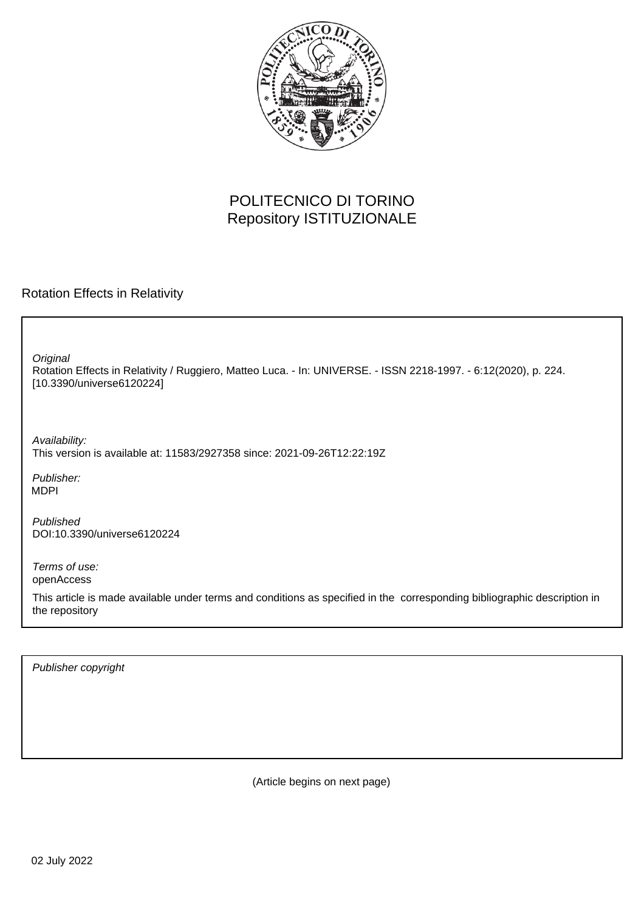

## POLITECNICO DI TORINO Repository ISTITUZIONALE

Rotation Effects in Relativity

Rotation Effects in Relativity / Ruggiero, Matteo Luca. - In: UNIVERSE. - ISSN 2218-1997. - 6:12(2020), p. 224. [10.3390/universe6120224] **Original** 

Availability: This version is available at: 11583/2927358 since: 2021-09-26T12:22:19Z

Publisher: MDPI

Published DOI:10.3390/universe6120224

Terms of use: openAccess

This article is made available under terms and conditions as specified in the corresponding bibliographic description in the repository

Publisher copyright

(Article begins on next page)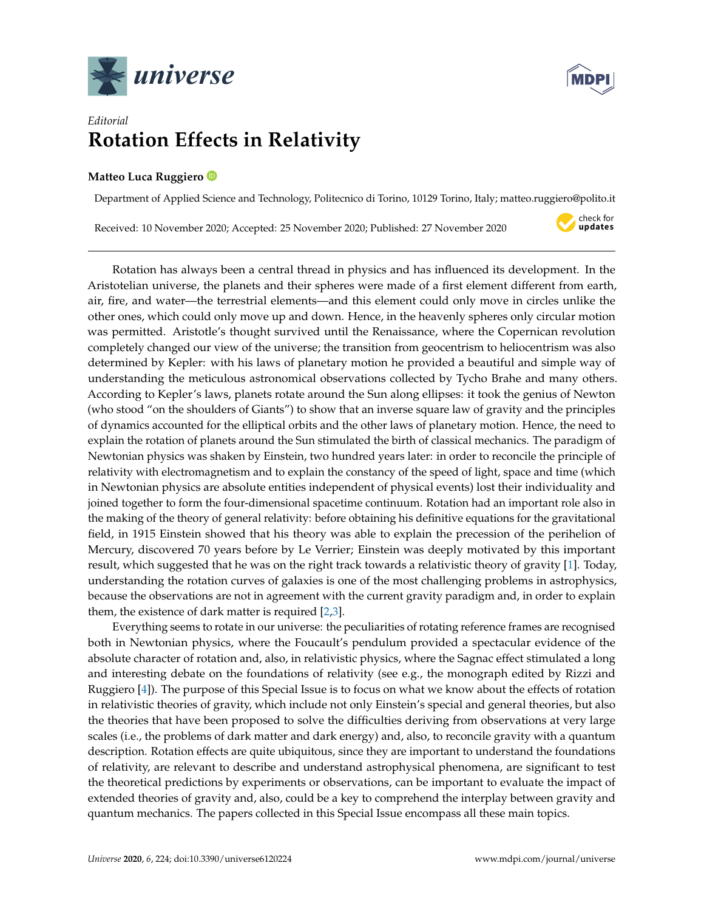



## *Editorial* **Rotation Effects in Relativity**

## **Matteo Luca Ruggiero**

Department of Applied Science and Technology, Politecnico di Torino, 10129 Torino, Italy; matteo.ruggiero@polito.it

Received: 10 November 2020; Accepted: 25 November 2020; Published: 27 November 2020



Rotation has always been a central thread in physics and has influenced its development. In the Aristotelian universe, the planets and their spheres were made of a first element different from earth, air, fire, and water—the terrestrial elements—and this element could only move in circles unlike the other ones, which could only move up and down. Hence, in the heavenly spheres only circular motion was permitted. Aristotle's thought survived until the Renaissance, where the Copernican revolution completely changed our view of the universe; the transition from geocentrism to heliocentrism was also determined by Kepler: with his laws of planetary motion he provided a beautiful and simple way of understanding the meticulous astronomical observations collected by Tycho Brahe and many others. According to Kepler's laws, planets rotate around the Sun along ellipses: it took the genius of Newton (who stood "on the shoulders of Giants") to show that an inverse square law of gravity and the principles of dynamics accounted for the elliptical orbits and the other laws of planetary motion. Hence, the need to explain the rotation of planets around the Sun stimulated the birth of classical mechanics. The paradigm of Newtonian physics was shaken by Einstein, two hundred years later: in order to reconcile the principle of relativity with electromagnetism and to explain the constancy of the speed of light, space and time (which in Newtonian physics are absolute entities independent of physical events) lost their individuality and joined together to form the four-dimensional spacetime continuum. Rotation had an important role also in the making of the theory of general relativity: before obtaining his definitive equations for the gravitational field, in 1915 Einstein showed that his theory was able to explain the precession of the perihelion of Mercury, discovered 70 years before by Le Verrier; Einstein was deeply motivated by this important result, which suggested that he was on the right track towards a relativistic theory of gravity [1]. Today, understanding the rotation curves of galaxies is one of the most challenging problems in astrophysics, because the observations are not in agreement with the current gravity paradigm and, in order to explain them, the existence of dark matter is required [2,3].

Everything seems to rotate in our universe: the peculiarities of rotating reference frames are recognised both in Newtonian physics, where the Foucault's pendulum provided a spectacular evidence of the absolute character of rotation and, also, in relativistic physics, where the Sagnac effect stimulated a long and interesting debate on the foundations of relativity (see e.g., the monograph edited by Rizzi and Ruggiero [4]). The purpose of this Special Issue is to focus on what we know about the effects of rotation in relativistic theories of gravity, which include not only Einstein's special and general theories, but also the theories that have been proposed to solve the difficulties deriving from observations at very large scales (i.e., the problems of dark matter and dark energy) and, also, to reconcile gravity with a quantum description. Rotation effects are quite ubiquitous, since they are important to understand the foundations of relativity, are relevant to describe and understand astrophysical phenomena, are significant to test the theoretical predictions by experiments or observations, can be important to evaluate the impact of extended theories of gravity and, also, could be a key to comprehend the interplay between gravity and quantum mechanics. The papers collected in this Special Issue encompass all these main topics.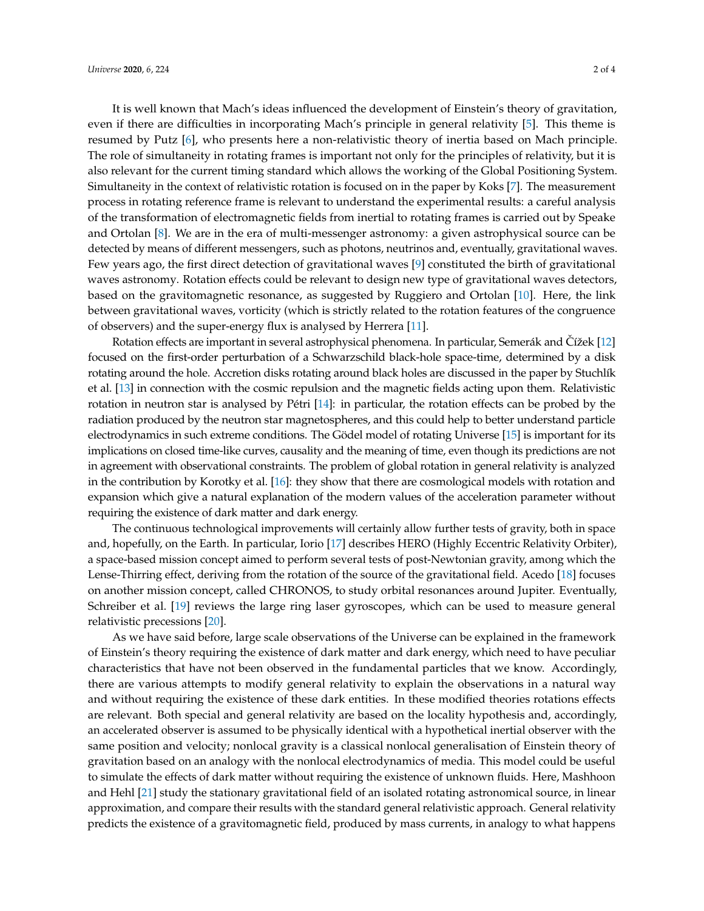It is well known that Mach's ideas influenced the development of Einstein's theory of gravitation, even if there are difficulties in incorporating Mach's principle in general relativity [5]. This theme is resumed by Putz [6], who presents here a non-relativistic theory of inertia based on Mach principle. The role of simultaneity in rotating frames is important not only for the principles of relativity, but it is also relevant for the current timing standard which allows the working of the Global Positioning System. Simultaneity in the context of relativistic rotation is focused on in the paper by Koks [7]. The measurement process in rotating reference frame is relevant to understand the experimental results: a careful analysis of the transformation of electromagnetic fields from inertial to rotating frames is carried out by Speake and Ortolan [8]. We are in the era of multi-messenger astronomy: a given astrophysical source can be detected by means of different messengers, such as photons, neutrinos and, eventually, gravitational waves. Few years ago, the first direct detection of gravitational waves [9] constituted the birth of gravitational waves astronomy. Rotation effects could be relevant to design new type of gravitational waves detectors, based on the gravitomagnetic resonance, as suggested by Ruggiero and Ortolan [10]. Here, the link between gravitational waves, vorticity (which is strictly related to the rotation features of the congruence of observers) and the super-energy flux is analysed by Herrera [11].

Rotation effects are important in several astrophysical phenomena. In particular, Semerák and Cížek [12] focused on the first-order perturbation of a Schwarzschild black-hole space-time, determined by a disk rotating around the hole. Accretion disks rotating around black holes are discussed in the paper by Stuchlík et al. [13] in connection with the cosmic repulsion and the magnetic fields acting upon them. Relativistic rotation in neutron star is analysed by Pétri [14]: in particular, the rotation effects can be probed by the radiation produced by the neutron star magnetospheres, and this could help to better understand particle electrodynamics in such extreme conditions. The Gödel model of rotating Universe [15] is important for its implications on closed time-like curves, causality and the meaning of time, even though its predictions are not in agreement with observational constraints. The problem of global rotation in general relativity is analyzed in the contribution by Korotky et al. [16]: they show that there are cosmological models with rotation and expansion which give a natural explanation of the modern values of the acceleration parameter without requiring the existence of dark matter and dark energy.

The continuous technological improvements will certainly allow further tests of gravity, both in space and, hopefully, on the Earth. In particular, Iorio [17] describes HERO (Highly Eccentric Relativity Orbiter), a space-based mission concept aimed to perform several tests of post-Newtonian gravity, among which the Lense-Thirring effect, deriving from the rotation of the source of the gravitational field. Acedo [18] focuses on another mission concept, called CHRONOS, to study orbital resonances around Jupiter. Eventually, Schreiber et al. [19] reviews the large ring laser gyroscopes, which can be used to measure general relativistic precessions [20].

As we have said before, large scale observations of the Universe can be explained in the framework of Einstein's theory requiring the existence of dark matter and dark energy, which need to have peculiar characteristics that have not been observed in the fundamental particles that we know. Accordingly, there are various attempts to modify general relativity to explain the observations in a natural way and without requiring the existence of these dark entities. In these modified theories rotations effects are relevant. Both special and general relativity are based on the locality hypothesis and, accordingly, an accelerated observer is assumed to be physically identical with a hypothetical inertial observer with the same position and velocity; nonlocal gravity is a classical nonlocal generalisation of Einstein theory of gravitation based on an analogy with the nonlocal electrodynamics of media. This model could be useful to simulate the effects of dark matter without requiring the existence of unknown fluids. Here, Mashhoon and Hehl [21] study the stationary gravitational field of an isolated rotating astronomical source, in linear approximation, and compare their results with the standard general relativistic approach. General relativity predicts the existence of a gravitomagnetic field, produced by mass currents, in analogy to what happens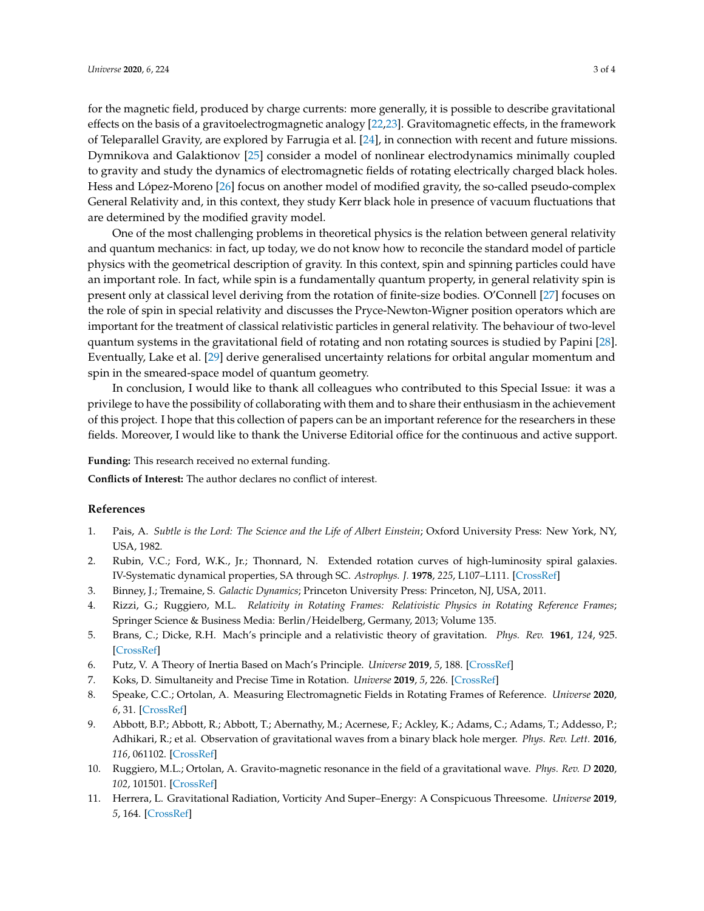for the magnetic field, produced by charge currents: more generally, it is possible to describe gravitational effects on the basis of a gravitoelectrogmagnetic analogy [22,23]. Gravitomagnetic effects, in the framework of Teleparallel Gravity, are explored by Farrugia et al. [24], in connection with recent and future missions. Dymnikova and Galaktionov [25] consider a model of nonlinear electrodynamics minimally coupled to gravity and study the dynamics of electromagnetic fields of rotating electrically charged black holes. Hess and López-Moreno [26] focus on another model of modified gravity, the so-called pseudo-complex General Relativity and, in this context, they study Kerr black hole in presence of vacuum fluctuations that are determined by the modified gravity model.

One of the most challenging problems in theoretical physics is the relation between general relativity and quantum mechanics: in fact, up today, we do not know how to reconcile the standard model of particle physics with the geometrical description of gravity. In this context, spin and spinning particles could have an important role. In fact, while spin is a fundamentally quantum property, in general relativity spin is present only at classical level deriving from the rotation of finite-size bodies. O'Connell [27] focuses on the role of spin in special relativity and discusses the Pryce-Newton-Wigner position operators which are important for the treatment of classical relativistic particles in general relativity. The behaviour of two-level quantum systems in the gravitational field of rotating and non rotating sources is studied by Papini [28]. Eventually, Lake et al. [29] derive generalised uncertainty relations for orbital angular momentum and spin in the smeared-space model of quantum geometry.

In conclusion, I would like to thank all colleagues who contributed to this Special Issue: it was a privilege to have the possibility of collaborating with them and to share their enthusiasm in the achievement of this project. I hope that this collection of papers can be an important reference for the researchers in these fields. Moreover, I would like to thank the Universe Editorial office for the continuous and active support.

**Funding:** This research received no external funding.

**Conflicts of Interest:** The author declares no conflict of interest.

## **References**

- 1. Pais, A. *Subtle is the Lord: The Science and the Life of Albert Einstein*; Oxford University Press: New York, NY, USA, 1982.
- 2. Rubin, V.C.; Ford, W.K., Jr.; Thonnard, N. Extended rotation curves of high-luminosity spiral galaxies. IV-Systematic dynamical properties, SA through SC. *Astrophys. J.* **1978**, *225*, L107–L111. [\[CrossRef\]](http://dx.doi.org/10.1086/182804)
- 3. Binney, J.; Tremaine, S. *Galactic Dynamics*; Princeton University Press: Princeton, NJ, USA, 2011.
- 4. Rizzi, G.; Ruggiero, M.L. *Relativity in Rotating Frames: Relativistic Physics in Rotating Reference Frames*; Springer Science & Business Media: Berlin/Heidelberg, Germany, 2013; Volume 135.
- 5. Brans, C.; Dicke, R.H. Mach's principle and a relativistic theory of gravitation. *Phys. Rev.* **1961**, *124*, 925. [\[CrossRef\]](http://dx.doi.org/10.1103/PhysRev.124.925)
- 6. Putz, V. A Theory of Inertia Based on Mach's Principle. *Universe* **2019**, *5*, 188. [\[CrossRef\]](http://dx.doi.org/10.3390/universe5080188)
- 7. Koks, D. Simultaneity and Precise Time in Rotation. *Universe* **2019**, *5*, 226. [\[CrossRef\]](http://dx.doi.org/10.3390/universe5120226)
- 8. Speake, C.C.; Ortolan, A. Measuring Electromagnetic Fields in Rotating Frames of Reference. *Universe* **2020**, *6*, 31. [\[CrossRef\]](http://dx.doi.org/10.3390/universe6020031)
- 9. Abbott, B.P.; Abbott, R.; Abbott, T.; Abernathy, M.; Acernese, F.; Ackley, K.; Adams, C.; Adams, T.; Addesso, P.; Adhikari, R.; et al. Observation of gravitational waves from a binary black hole merger. *Phys. Rev. Lett.* **2016**, *116*, 061102. [\[CrossRef\]](http://dx.doi.org/10.1103/PhysRevLett.116.061102)
- 10. Ruggiero, M.L.; Ortolan, A. Gravito-magnetic resonance in the field of a gravitational wave. *Phys. Rev. D* **2020**, *102*, 101501. [\[CrossRef\]](http://dx.doi.org/10.1103/PhysRevD.102.101501)
- 11. Herrera, L. Gravitational Radiation, Vorticity And Super–Energy: A Conspicuous Threesome. *Universe* **2019**, *5*, 164. [\[CrossRef\]](http://dx.doi.org/10.3390/universe5070164)